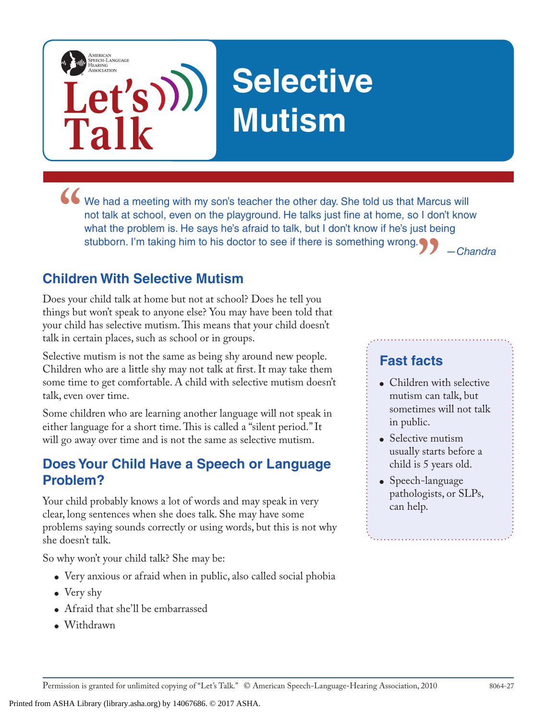# **Selective Mutism**

**We had a meeting with my son's teacher the other day. She told us that Marcus will not talk at school, even on the playground. He talks just fine at home, so I don't know what the problem is. He says he's afraid to talk, "** *—Chandra* not talk at school, even on the playground. He talks just fine at home, so I don't know what the problem is. He says he's afraid to talk, but I don't know if he's just being stubborn. I'm taking him to his doctor to see if there is something wrong.

### **Children With Selective Mutism**

**Let's**

**Talk**

AMERICAN<br>SPEECH-LANGUAGE-<br>HEARING<br>ASSOCIATION

Does your child talk at home but not at school? Does he tell you things but won't speak to anyone else? You may have been told that your child has selective mutism. This means that your child doesn't talk in certain places, such as school or in groups.

Selective mutism is not the same as being shy around new people. Children who are a little shy may not talk at first. It may take them some time to get comfortable. A child with selective mutism doesn't talk, even over time.

Some children who are learning another language will not speak in either language for a short time. This is called a "silent period." It will go away over time and is not the same as selective mutism.

#### **Does Your Child Have a Speech or Language Problem?**

Your child probably knows a lot of words and may speak in very clear, long sentences when she does talk. She may have some problems saying sounds correctly or using words, but this is not why she doesn't talk.

So why won't your child talk? She may be:

- Very anxious or afraid when in public, also called social phobia
- Very shy
- Afraid that she'll be embarrassed
- Withdrawn

#### **Fast facts**

- Children with selective mutism can talk, but sometimes will not talk in public.
- Selective mutism usually starts before a child is 5 years old.
- Speech-language pathologists, or SLPs, can help.

Permission is granted for unlimited copying of "Let's Talk." © American Speech-Language-Hearing Association, 2010 8064-27

Printed from ASHA Library (library.asha.org) by 14067686. © 2017 ASHA.